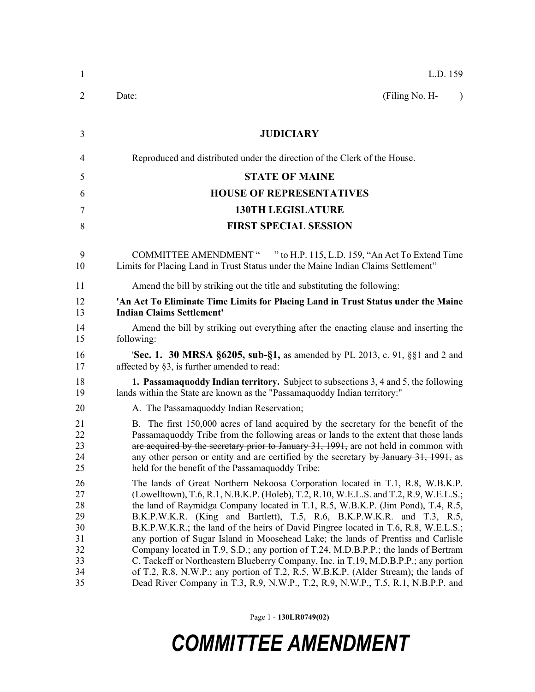| $\mathbf{1}$                                             | L.D. 159                                                                                                                                                                                                                                                                                                                                                                                                                                                                                                                                                                                                                                                                                                                                                                                                                                                                  |
|----------------------------------------------------------|---------------------------------------------------------------------------------------------------------------------------------------------------------------------------------------------------------------------------------------------------------------------------------------------------------------------------------------------------------------------------------------------------------------------------------------------------------------------------------------------------------------------------------------------------------------------------------------------------------------------------------------------------------------------------------------------------------------------------------------------------------------------------------------------------------------------------------------------------------------------------|
| 2                                                        | (Filing No. H-<br>Date:<br>$\lambda$                                                                                                                                                                                                                                                                                                                                                                                                                                                                                                                                                                                                                                                                                                                                                                                                                                      |
| 3                                                        | <b>JUDICIARY</b>                                                                                                                                                                                                                                                                                                                                                                                                                                                                                                                                                                                                                                                                                                                                                                                                                                                          |
| 4                                                        | Reproduced and distributed under the direction of the Clerk of the House.                                                                                                                                                                                                                                                                                                                                                                                                                                                                                                                                                                                                                                                                                                                                                                                                 |
| 5                                                        | <b>STATE OF MAINE</b>                                                                                                                                                                                                                                                                                                                                                                                                                                                                                                                                                                                                                                                                                                                                                                                                                                                     |
| 6                                                        | <b>HOUSE OF REPRESENTATIVES</b>                                                                                                                                                                                                                                                                                                                                                                                                                                                                                                                                                                                                                                                                                                                                                                                                                                           |
| 7                                                        | <b>130TH LEGISLATURE</b>                                                                                                                                                                                                                                                                                                                                                                                                                                                                                                                                                                                                                                                                                                                                                                                                                                                  |
| 8                                                        | <b>FIRST SPECIAL SESSION</b>                                                                                                                                                                                                                                                                                                                                                                                                                                                                                                                                                                                                                                                                                                                                                                                                                                              |
| 9<br>10                                                  | " to H.P. 115, L.D. 159, "An Act To Extend Time"<br><b>COMMITTEE AMENDMENT</b> "<br>Limits for Placing Land in Trust Status under the Maine Indian Claims Settlement"                                                                                                                                                                                                                                                                                                                                                                                                                                                                                                                                                                                                                                                                                                     |
| 11                                                       | Amend the bill by striking out the title and substituting the following:                                                                                                                                                                                                                                                                                                                                                                                                                                                                                                                                                                                                                                                                                                                                                                                                  |
| 12<br>13                                                 | 'An Act To Eliminate Time Limits for Placing Land in Trust Status under the Maine<br><b>Indian Claims Settlement'</b>                                                                                                                                                                                                                                                                                                                                                                                                                                                                                                                                                                                                                                                                                                                                                     |
| 14<br>15                                                 | Amend the bill by striking out everything after the enacting clause and inserting the<br>following:                                                                                                                                                                                                                                                                                                                                                                                                                                                                                                                                                                                                                                                                                                                                                                       |
| 16<br>17                                                 | <b>'Sec. 1. 30 MRSA §6205, sub-§1,</b> as amended by PL 2013, c. 91, §§1 and 2 and<br>affected by §3, is further amended to read:                                                                                                                                                                                                                                                                                                                                                                                                                                                                                                                                                                                                                                                                                                                                         |
| 18<br>19                                                 | <b>1. Passamaquoddy Indian territory.</b> Subject to subsections 3, 4 and 5, the following<br>lands within the State are known as the "Passamaquoddy Indian territory:"                                                                                                                                                                                                                                                                                                                                                                                                                                                                                                                                                                                                                                                                                                   |
| 20                                                       | A. The Passamaquoddy Indian Reservation;                                                                                                                                                                                                                                                                                                                                                                                                                                                                                                                                                                                                                                                                                                                                                                                                                                  |
| 21<br>22<br>23<br>24<br>25                               | B. The first 150,000 acres of land acquired by the secretary for the benefit of the<br>Passamaquoddy Tribe from the following areas or lands to the extent that those lands<br>are acquired by the secretary prior to January 31, 1991, are not held in common with<br>any other person or entity and are certified by the secretary by January 31, 1991, as<br>held for the benefit of the Passamaquoddy Tribe:                                                                                                                                                                                                                                                                                                                                                                                                                                                          |
| 26<br>27<br>28<br>29<br>30<br>31<br>32<br>33<br>34<br>35 | The lands of Great Northern Nekoosa Corporation located in T.1, R.8, W.B.K.P.<br>(Lowelltown), T.6, R.1, N.B.K.P. (Holeb), T.2, R.10, W.E.L.S. and T.2, R.9, W.E.L.S.;<br>the land of Raymidga Company located in T.1, R.5, W.B.K.P. (Jim Pond), T.4, R.5,<br>B.K.P.W.K.R. (King and Bartlett), T.5, R.6, B.K.P.W.K.R. and T.3, R.5,<br>B.K.P.W.K.R.; the land of the heirs of David Pingree located in T.6, R.8, W.E.L.S.;<br>any portion of Sugar Island in Moosehead Lake; the lands of Prentiss and Carlisle<br>Company located in T.9, S.D.; any portion of T.24, M.D.B.P.P.; the lands of Bertram<br>C. Tackeff or Northeastern Blueberry Company, Inc. in T.19, M.D.B.P.P.; any portion<br>of T.2, R.8, N.W.P.; any portion of T.2, R.5, W.B.K.P. (Alder Stream); the lands of<br>Dead River Company in T.3, R.9, N.W.P., T.2, R.9, N.W.P., T.5, R.1, N.B.P.P. and |

Page 1 - **130LR0749(02)**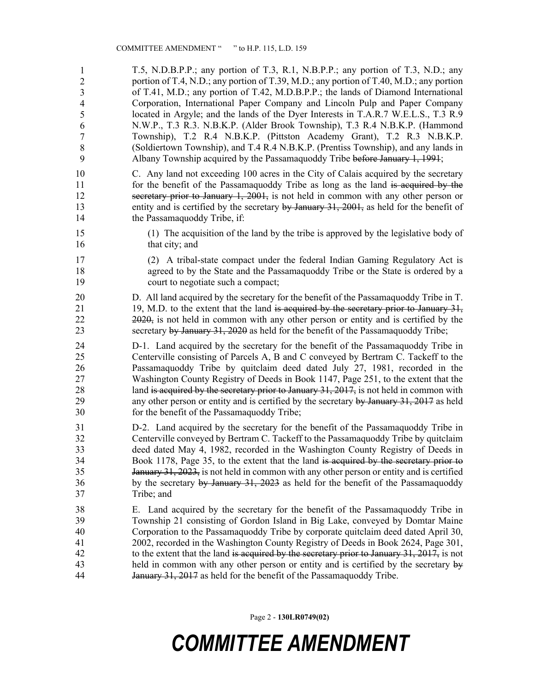36 T.5, N.D.B.P.P.; any portion of T.3, R.1, N.B.P.P.; any portion of T.3, N.D.; any portion of T.4, N.D.; any portion of T.39, M.D.; any portion of T.40, M.D.; any portion of T.41, M.D.; any portion of T.42, M.D.B.P.P.; the lands of Diamond International 39 Corporation, International Paper Company and Lincoln Pulp and Paper Company located in Argyle; and the lands of the Dyer Interests in T.A.R.7 W.E.L.S., T.3 R.9 41 N.W.P., T.3 R.3. N.B.K.P. (Alder Brook Township), T.3 R.4 N.B.K.P. (Hammond 42 Township), T.2 R.4 N.B.K.P. (Pittston Academy Grant), T.2 R.3 N.B.K.P. (Soldiertown Township), and T.4 R.4 N.B.K.P. (Prentiss Township), and any lands in Albany Township acquired by the Passamaquoddy Tribe before January 1, 1991; 1 2 3 4 5 6 7 8 9

- 10 C. Any land not exceeding 100 acres in the City of Calais acquired by the secretary 11 for the benefit of the Passamaguoddy Tribe as long as the land is acquired by the 12 secretary prior to January 1, 2001, is not held in common with any other person or 13 entity and is certified by the secretary by January 31, 2001, as held for the benefit of 14 the Passamaquoddy Tribe, if:
- 15 (1) The acquisition of the land by the tribe is approved by the legislative body of 16 that city; and
- 17 (2) A tribal-state compact under the federal Indian Gaming Regulatory Act is 18 agreed to by the State and the Passamaquoddy Tribe or the State is ordered by a 19 court to negotiate such a compact;
- 20 D. All land acquired by the secretary for the benefit of the Passamaquoddy Tribe in T. 21 19, M.D. to the extent that the land is acquired by the secretary prior to January 31, 22 2020, is not held in common with any other person or entity and is certified by the 23 secretary by January 31, 2020 as held for the benefit of the Passamaguoddy Tribe;
- 24 D-1. Land acquired by the secretary for the benefit of the Passamaquoddy Tribe in 25 Centerville consisting of Parcels A, B and C conveyed by Bertram C. Tackeff to the 26 Passamaquoddy Tribe by quitclaim deed dated July 27, 1981, recorded in the 27 Washington County Registry of Deeds in Book 1147, Page 251, to the extent that the 28 land is acquired by the secretary prior to January 31, 2017, is not held in common with 29 any other person or entity and is certified by the secretary by January 31, 2017 as held 30 for the benefit of the Passamaquoddy Tribe;
- 31 D-2. Land acquired by the secretary for the benefit of the Passamaquoddy Tribe in 32 Centerville conveyed by Bertram C. Tackeff to the Passamaquoddy Tribe by quitclaim 33 deed dated May 4, 1982, recorded in the Washington County Registry of Deeds in 34 Book 1178, Page 35, to the extent that the land is acquired by the secretary prior to 35 January 31, 2023, is not held in common with any other person or entity and is certified 36 by the secretary by January 31, 2023 as held for the benefit of the Passamaquoddy 37 Tribe; and
- 38 E. Land acquired by the secretary for the benefit of the Passamaquoddy Tribe in 39 Township 21 consisting of Gordon Island in Big Lake, conveyed by Domtar Maine 40 Corporation to the Passamaquoddy Tribe by corporate quitclaim deed dated April 30, 41 2002, recorded in the Washington County Registry of Deeds in Book 2624, Page 301, 42 to the extent that the land is acquired by the secretary prior to January  $31, 2017$ , is not 43 held in common with any other person or entity and is certified by the secretary by 44 January 31, 2017 as held for the benefit of the Passamaquoddy Tribe.

Page 2 - **130LR0749(02)**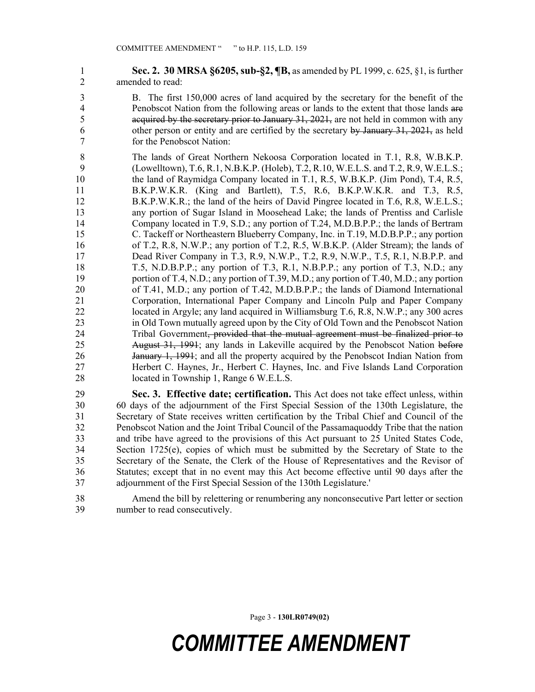1 **Sec. 2. 30 MRSA §6205, sub-§2, ¶B,** as amended by PL 1999, c. 625, §1, is further 2 amended to read:

- 3 B. The first 150,000 acres of land acquired by the secretary for the benefit of the 4 Penobscot Nation from the following areas or lands to the extent that those lands are 5 acquired by the secretary prior to January 31, 2021, are not held in common with any 6 other person or entity and are certified by the secretary by January 31, 2021, as held 7 for the Penobscot Nation:
- 8 The lands of Great Northern Nekoosa Corporation located in T.1, R.8, W.B.K.P. 9 (Lowelltown), T.6, R.1, N.B.K.P. (Holeb), T.2, R.10, W.E.L.S. and T.2, R.9, W.E.L.S.; 10 the land of Raymidga Company located in T.1, R.5, W.B.K.P. (Jim Pond), T.4, R.5, 11 B.K.P.W.K.R. (King and Bartlett), T.5, R.6, B.K.P.W.K.R. and T.3, R.5, 12 B.K.P.W.K.R.; the land of the heirs of David Pingree located in T.6, R.8, W.E.L.S.; 13 any portion of Sugar Island in Moosehead Lake; the lands of Prentiss and Carlisle 14 Company located in T.9, S.D.; any portion of T.24, M.D.B.P.P.; the lands of Bertram 15 C. Tackeff or Northeastern Blueberry Company, Inc. in T.19, M.D.B.P.P.; any portion 16 of T.2, R.8, N.W.P.; any portion of T.2, R.5, W.B.K.P. (Alder Stream); the lands of 17 Dead River Company in T.3, R.9, N.W.P., T.2, R.9, N.W.P., T.5, R.1, N.B.P.P. and 18 T.5, N.D.B.P.P.; any portion of T.3, R.1, N.B.P.P.; any portion of T.3, N.D.; any 19 portion of T.4, N.D.; any portion of T.39, M.D.; any portion of T.40, M.D.; any portion 20 of T.41, M.D.; any portion of T.42, M.D.B.P.P.; the lands of Diamond International 21 Corporation, International Paper Company and Lincoln Pulp and Paper Company 22 located in Argyle; any land acquired in Williamsburg T.6, R.8, N.W.P.; any 300 acres 23 in Old Town mutually agreed upon by the City of Old Town and the Penobscot Nation 24 Tribal Government, provided that the mutual agreement must be finalized prior to 25 August 31, 1991; any lands in Lakeville acquired by the Penobscot Nation before 26 January 1, 1991; and all the property acquired by the Penobscot Indian Nation from 27 Herbert C. Haynes, Jr., Herbert C. Haynes, Inc. and Five Islands Land Corporation 28 located in Township 1, Range 6 W.E.L.S.

29 **Sec. 3. Effective date; certification.** This Act does not take effect unless, within 30 60 days of the adjournment of the First Special Session of the 130th Legislature, the 31 Secretary of State receives written certification by the Tribal Chief and Council of the 32 Penobscot Nation and the Joint Tribal Council of the Passamaquoddy Tribe that the nation 33 and tribe have agreed to the provisions of this Act pursuant to 25 United States Code, 34 Section 1725(e), copies of which must be submitted by the Secretary of State to the 35 Secretary of the Senate, the Clerk of the House of Representatives and the Revisor of 36 Statutes; except that in no event may this Act become effective until 90 days after the 37 adjournment of the First Special Session of the 130th Legislature.'

38 Amend the bill by relettering or renumbering any nonconsecutive Part letter or section 39 number to read consecutively.

Page 3 - **130LR0749(02)**